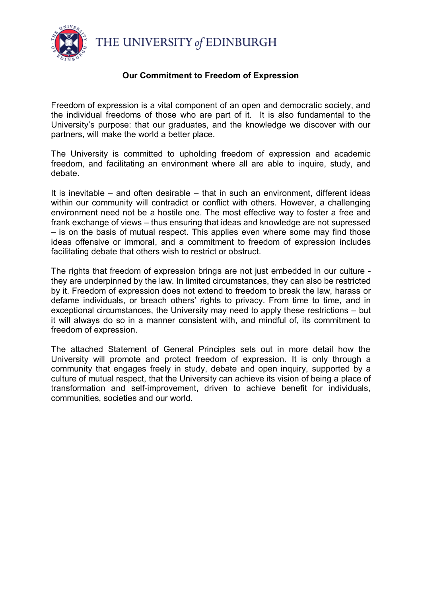THE UNIVERSITY of EDINBURGH



#### **Our Commitment to Freedom of Expression**

Freedom of expression is a vital component of an open and democratic society, and the individual freedoms of those who are part of it. It is also fundamental to the University's purpose: that our graduates, and the knowledge we discover with our partners, will make the world a better place.

The University is committed to upholding freedom of expression and academic freedom, and facilitating an environment where all are able to inquire, study, and debate.

It is inevitable – and often desirable – that in such an environment, different ideas within our community will contradict or conflict with others. However, a challenging environment need not be a hostile one. The most effective way to foster a free and frank exchange of views – thus ensuring that ideas and knowledge are not supressed – is on the basis of mutual respect. This applies even where some may find those ideas offensive or immoral, and a commitment to freedom of expression includes facilitating debate that others wish to restrict or obstruct.

The rights that freedom of expression brings are not just embedded in our culture they are underpinned by the law. In limited circumstances, they can also be restricted by it. Freedom of expression does not extend to freedom to break the law, harass or defame individuals, or breach others' rights to privacy. From time to time, and in exceptional circumstances, the University may need to apply these restrictions – but it will always do so in a manner consistent with, and mindful of, its commitment to freedom of expression.

The attached Statement of General Principles sets out in more detail how the University will promote and protect freedom of expression. It is only through a community that engages freely in study, debate and open inquiry, supported by a culture of mutual respect, that the University can achieve its vision of being a place of transformation and self-improvement, driven to achieve benefit for individuals, communities, societies and our world.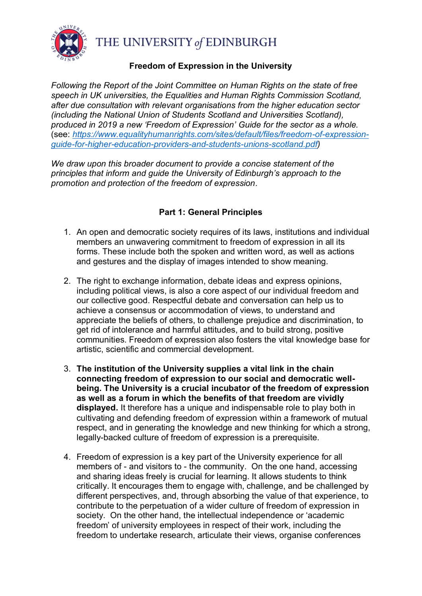

THE UNIVERSITY of EDINBURGH

#### **Freedom of Expression in the University**

*Following the Report of the Joint Committee on Human Rights on the state of free speech in UK universities, the Equalities and Human Rights Commission Scotland, after due consultation with relevant organisations from the higher education sector (including the National Union of Students Scotland and Universities Scotland), produced in 2019 a new 'Freedom of Expression' Guide for the sector as a whole.* (see: *[https://www.equalityhumanrights.com/sites/default/files/freedom-of-expression](https://www.equalityhumanrights.com/sites/default/files/freedom-of-expression-guide-for-higher-education-providers-and-students-unions-scotland.pdf)[guide-for-higher-education-providers-and-students-unions-scotland.pdf\)](https://www.equalityhumanrights.com/sites/default/files/freedom-of-expression-guide-for-higher-education-providers-and-students-unions-scotland.pdf)* 

*We draw upon this broader document to provide a concise statement of the principles that inform and guide the University of Edinburgh's approach to the promotion and protection of the freedom of expression.*

## **Part 1: General Principles**

- 1. An open and democratic society requires of its laws, institutions and individual members an unwavering commitment to freedom of expression in all its forms. These include both the spoken and written word, as well as actions and gestures and the display of images intended to show meaning.
- 2. The right to exchange information, debate ideas and express opinions, including political views, is also a core aspect of our individual freedom and our collective good. Respectful debate and conversation can help us to achieve a consensus or accommodation of views, to understand and appreciate the beliefs of others, to challenge prejudice and discrimination, to get rid of intolerance and harmful attitudes, and to build strong, positive communities. Freedom of expression also fosters the vital knowledge base for artistic, scientific and commercial development.
- 3. **The institution of the University supplies a vital link in the chain connecting freedom of expression to our social and democratic wellbeing. The University is a crucial incubator of the freedom of expression as well as a forum in which the benefits of that freedom are vividly displayed.** It therefore has a unique and indispensable role to play both in cultivating and defending freedom of expression within a framework of mutual respect, and in generating the knowledge and new thinking for which a strong, legally-backed culture of freedom of expression is a prerequisite.
- 4. Freedom of expression is a key part of the University experience for all members of - and visitors to - the community. On the one hand, accessing and sharing ideas freely is crucial for learning. It allows students to think critically. It encourages them to engage with, challenge, and be challenged by different perspectives, and, through absorbing the value of that experience, to contribute to the perpetuation of a wider culture of freedom of expression in society. On the other hand, the intellectual independence or 'academic freedom' of university employees in respect of their work, including the freedom to undertake research, articulate their views, organise conferences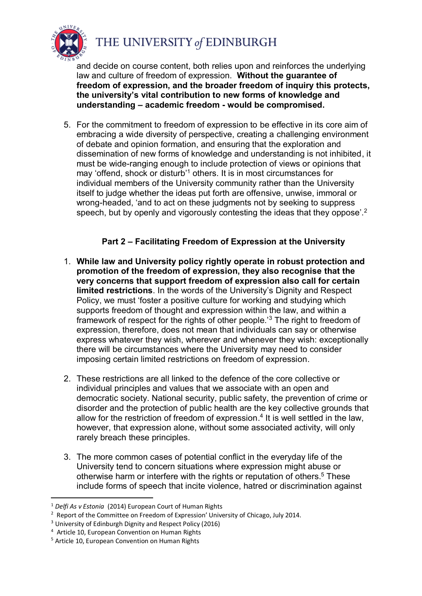

and decide on course content, both relies upon and reinforces the underlying law and culture of freedom of expression. **Without the guarantee of freedom of expression, and the broader freedom of inquiry this protects, the university's vital contribution to new forms of knowledge and understanding – academic freedom - would be compromised.**

5. For the commitment to freedom of expression to be effective in its core aim of embracing a wide diversity of perspective, creating a challenging environment of debate and opinion formation, and ensuring that the exploration and dissemination of new forms of knowledge and understanding is not inhibited, it must be wide-ranging enough to include protection of views or opinions that may 'offend, shock or disturb'<sup>1</sup> others. It is in most circumstances for individual members of the University community rather than the University itself to judge whether the ideas put forth are offensive, unwise, immoral or wrong-headed, 'and to act on these judgments not by seeking to suppress speech, but by openly and vigorously contesting the ideas that they oppose<sup>'.2</sup>

## **Part 2 – Facilitating Freedom of Expression at the University**

- 1. **While law and University policy rightly operate in robust protection and promotion of the freedom of expression, they also recognise that the very concerns that support freedom of expression also call for certain limited restrictions**. In the words of the University's Dignity and Respect Policy, we must 'foster a positive culture for working and studying which supports freedom of thought and expression within the law, and within a framework of respect for the rights of other people.'<sup>3</sup> The right to freedom of expression, therefore, does not mean that individuals can say or otherwise express whatever they wish, wherever and whenever they wish: exceptionally there will be circumstances where the University may need to consider imposing certain limited restrictions on freedom of expression.
- 2. These restrictions are all linked to the defence of the core collective or individual principles and values that we associate with an open and democratic society. National security, public safety, the prevention of crime or disorder and the protection of public health are the key collective grounds that allow for the restriction of freedom of expression. 4 It is well settled in the law, however, that expression alone, without some associated activity, will only rarely breach these principles.
- 3. The more common cases of potential conflict in the everyday life of the University tend to concern situations where expression might abuse or otherwise harm or interfere with the rights or reputation of others.<sup>5</sup> These include forms of speech that incite violence, hatred or discrimination against

 $\overline{a}$ 

<sup>1</sup> *Delfi As v Estonia* (2014) European Court of Human Rights

 $2$  Report of the Committee on Freedom of Expression' University of Chicago, July 2014.

<sup>3</sup> University of Edinburgh Dignity and Respect Policy (2016)

<sup>&</sup>lt;sup>4</sup> Article 10, European Convention on Human Rights

<sup>5</sup> Article 10, European Convention on Human Rights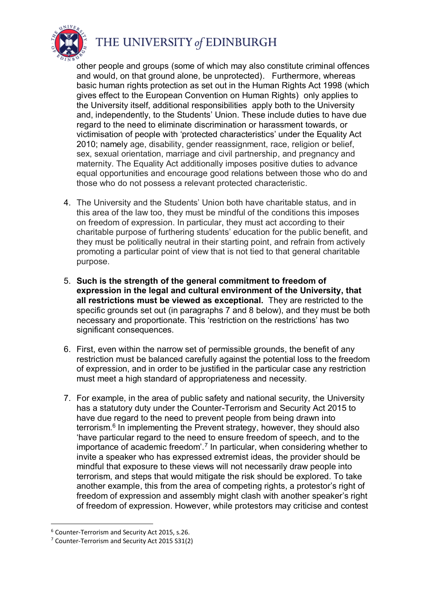

# THE UNIVERSITY of EDINBURGH

other people and groups (some of which may also constitute criminal offences and would, on that ground alone, be unprotected). Furthermore, whereas basic human rights protection as set out in the Human Rights Act 1998 (which gives effect to the European Convention on Human Rights) only applies to the University itself, additional responsibilities apply both to the University and, independently, to the Students' Union. These include duties to have due regard to the need to eliminate discrimination or harassment towards, or victimisation of people with 'protected characteristics' under the Equality Act 2010; namely age, disability, gender reassignment, race, religion or belief, sex, sexual orientation, marriage and civil partnership, and pregnancy and maternity. The Equality Act additionally imposes positive duties to advance equal opportunities and encourage good relations between those who do and those who do not possess a relevant protected characteristic.

- 4. The University and the Students' Union both have charitable status, and in this area of the law too, they must be mindful of the conditions this imposes on freedom of expression. In particular, they must act according to their charitable purpose of furthering students' education for the public benefit, and they must be politically neutral in their starting point, and refrain from actively promoting a particular point of view that is not tied to that general charitable purpose.
- 5. **Such is the strength of the general commitment to freedom of expression in the legal and cultural environment of the University, that all restrictions must be viewed as exceptional.** They are restricted to the specific grounds set out (in paragraphs 7 and 8 below), and they must be both necessary and proportionate. This 'restriction on the restrictions' has two significant consequences.
- 6. First, even within the narrow set of permissible grounds, the benefit of any restriction must be balanced carefully against the potential loss to the freedom of expression, and in order to be justified in the particular case any restriction must meet a high standard of appropriateness and necessity.
- 7. For example, in the area of public safety and national security, the University has a statutory duty under the Counter-Terrorism and Security Act 2015 to have due regard to the need to prevent people from being drawn into terrorism.<sup>6</sup> In implementing the Prevent strategy, however, they should also 'have particular regard to the need to ensure freedom of speech, and to the importance of academic freedom'.<sup>7</sup> In particular, when considering whether to invite a speaker who has expressed extremist ideas, the provider should be mindful that exposure to these views will not necessarily draw people into terrorism, and steps that would mitigate the risk should be explored. To take another example, this from the area of competing rights, a protestor's right of freedom of expression and assembly might clash with another speaker's right of freedom of expression. However, while protestors may criticise and contest

 $\overline{a}$ 

<sup>6</sup> Counter-Terrorism and Security Act 2015, s.26.

<sup>7</sup> Counter-Terrorism and Security Act 2015 S31(2)